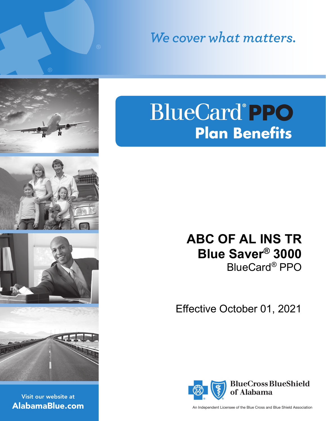We cover what matters.

# **BlueCard®PPO Plan Benefits**

## **ABC OF AL INS TR Blue Saver® 3000** BlueCard*®* PPO

Effective October 01, 2021



An Independent Licensee of the Blue Cross and Blue Shield Association

Visit our website at AlabamaBlue.com



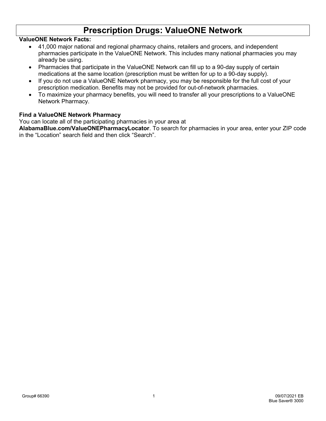### **Prescription Drugs: ValueONE Network**

#### **ValueONE Network Facts:**

- 41,000 major national and regional pharmacy chains, retailers and grocers, and independent pharmacies participate in the ValueONE Network. This includes many national pharmacies you may already be using.
- Pharmacies that participate in the ValueONE Network can fill up to a 90-day supply of certain medications at the same location (prescription must be written for up to a 90-day supply).
- If you do not use a ValueONE Network pharmacy, you may be responsible for the full cost of your prescription medication. Benefits may not be provided for out-of-network pharmacies.
- To maximize your pharmacy benefits, you will need to transfer all your prescriptions to a ValueONE Network Pharmacy.

#### **Find a ValueONE Network Pharmacy**

You can locate all of the participating pharmacies in your area at

**AlabamaBlue.com/ValueONEPharmacyLocator**. To search for pharmacies in your area, enter your ZIP code in the "Location" search field and then click "Search".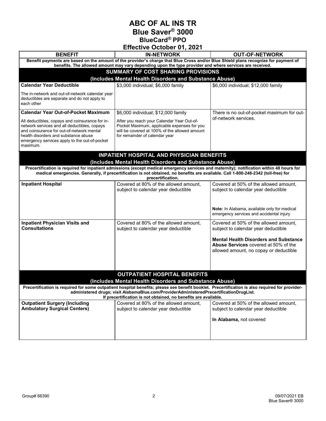**ABC OF AL INS TR Blue Saver® 3000 BlueCard***®* **PPO**

| Effective October 01, 2021                                                                                                                                                                                                                                                                                    |                                                                                                                                                                              |                                                                                                                                       |
|---------------------------------------------------------------------------------------------------------------------------------------------------------------------------------------------------------------------------------------------------------------------------------------------------------------|------------------------------------------------------------------------------------------------------------------------------------------------------------------------------|---------------------------------------------------------------------------------------------------------------------------------------|
| <b>BENEFIT</b>                                                                                                                                                                                                                                                                                                | <b>IN-NETWORK</b>                                                                                                                                                            | <b>OUT-OF-NETWORK</b>                                                                                                                 |
| Benefit payments are based on the amount of the provider's charge that Blue Cross and/or Blue Shield plans recognize for payment of<br>benefits. The allowed amount may vary depending upon the type provider and where services are received.                                                                |                                                                                                                                                                              |                                                                                                                                       |
|                                                                                                                                                                                                                                                                                                               | SUMMARY OF COST SHARING PROVISIONS                                                                                                                                           |                                                                                                                                       |
|                                                                                                                                                                                                                                                                                                               | (Includes Mental Health Disorders and Substance Abuse)                                                                                                                       |                                                                                                                                       |
| <b>Calendar Year Deductible</b>                                                                                                                                                                                                                                                                               | \$3,000 individual; \$6,000 family                                                                                                                                           | \$6,000 individual; \$12,000 family                                                                                                   |
| The in-network and out-of-network calendar year<br>deductibles are separate and do not apply to<br>each other                                                                                                                                                                                                 |                                                                                                                                                                              |                                                                                                                                       |
| <b>Calendar Year Out-of-Pocket Maximum</b>                                                                                                                                                                                                                                                                    | \$6,000 individual; \$12,000 family                                                                                                                                          | There is no out-of-pocket maximum for out-                                                                                            |
| All deductibles, copays and coinsurance for in-<br>network services and all deductibles, copays<br>and coinsurance for out-of-network mental<br>health disorders and substance abuse<br>emergency services apply to the out-of-pocket<br>maximum.                                                             | After you reach your Calendar Year Out-of-<br>Pocket Maximum, applicable expenses for you<br>will be covered at 100% of the allowed amount<br>for remainder of calendar year | of-network services.                                                                                                                  |
|                                                                                                                                                                                                                                                                                                               | <b>INPATIENT HOSPITAL AND PHYSICIAN BENEFITS</b>                                                                                                                             |                                                                                                                                       |
|                                                                                                                                                                                                                                                                                                               | (Includes Mental Health Disorders and Substance Abuse)                                                                                                                       |                                                                                                                                       |
| Precertification is required for inpatient admissions (except medical emergency services and maternity); notification within 48 hours for<br>medical emergencies. Generally, if precertification is not obtained, no benefits are available. Call 1-800-248-2342 (toll-free) for<br>precertification.         |                                                                                                                                                                              |                                                                                                                                       |
| <b>Inpatient Hospital</b>                                                                                                                                                                                                                                                                                     | Covered at 80% of the allowed amount,<br>subject to calendar year deductible                                                                                                 | Covered at 50% of the allowed amount,<br>subject to calendar year deductible                                                          |
|                                                                                                                                                                                                                                                                                                               |                                                                                                                                                                              | Note: In Alabama, available only for medical<br>emergency services and accidental injury                                              |
| <b>Inpatient Physician Visits and</b><br><b>Consultations</b>                                                                                                                                                                                                                                                 | Covered at 80% of the allowed amount,<br>subject to calendar year deductible                                                                                                 | Covered at 50% of the allowed amount,<br>subject to calendar year deductible                                                          |
|                                                                                                                                                                                                                                                                                                               |                                                                                                                                                                              | <b>Mental Health Disorders and Substance</b><br><b>Abuse Services</b> covered at 50% of the<br>allowed amount, no copay or deductible |
|                                                                                                                                                                                                                                                                                                               | <b>OUTPATIENT HOSPITAL BENEFITS</b>                                                                                                                                          |                                                                                                                                       |
|                                                                                                                                                                                                                                                                                                               | (Includes Mental Health Disorders and Substance Abuse)                                                                                                                       |                                                                                                                                       |
| Precertification is required for some outpatient hospital benefits; please see benefit booklet. Precertification is also required for provider-<br>administered drugs; visit AlabamaBlue.com/ProviderAdministeredPrecertificationDrugList.<br>If precertification is not obtained, no benefits are available. |                                                                                                                                                                              |                                                                                                                                       |
| <b>Outpatient Surgery (Including</b><br><b>Ambulatory Surgical Centers)</b>                                                                                                                                                                                                                                   | Covered at 80% of the allowed amount,<br>subject to calendar year deductible                                                                                                 | Covered at 50% of the allowed amount,<br>subject to calendar year deductible                                                          |
|                                                                                                                                                                                                                                                                                                               |                                                                                                                                                                              |                                                                                                                                       |
|                                                                                                                                                                                                                                                                                                               |                                                                                                                                                                              | In Alabama, not covered                                                                                                               |
|                                                                                                                                                                                                                                                                                                               |                                                                                                                                                                              |                                                                                                                                       |
|                                                                                                                                                                                                                                                                                                               |                                                                                                                                                                              |                                                                                                                                       |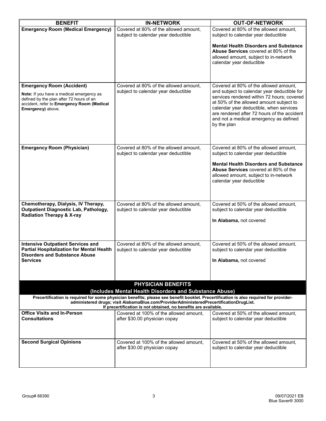| <b>BENEFIT</b>                                                                                                                                                                                                                                                                                      | <b>IN-NETWORK</b>                                                                   | <b>OUT-OF-NETWORK</b>                                                                                                                                                                                                                                                                   |
|-----------------------------------------------------------------------------------------------------------------------------------------------------------------------------------------------------------------------------------------------------------------------------------------------------|-------------------------------------------------------------------------------------|-----------------------------------------------------------------------------------------------------------------------------------------------------------------------------------------------------------------------------------------------------------------------------------------|
| <b>Emergency Room (Medical Emergency)</b>                                                                                                                                                                                                                                                           | Covered at 80% of the allowed amount,<br>subject to calendar year deductible        | Covered at 80% of the allowed amount.<br>subject to calendar year deductible                                                                                                                                                                                                            |
|                                                                                                                                                                                                                                                                                                     |                                                                                     | <b>Mental Health Disorders and Substance</b><br>Abuse Services covered at 80% of the<br>allowed amount, subject to in-network<br>calendar year deductible                                                                                                                               |
| <b>Emergency Room (Accident)</b>                                                                                                                                                                                                                                                                    | Covered at 80% of the allowed amount.                                               | Covered at 80% of the allowed amount,                                                                                                                                                                                                                                                   |
| Note: If you have a medical emergency as<br>defined by the plan after 72 hours of an<br>accident, refer to Emergency Room (Medical<br>Emergency) above.                                                                                                                                             | subject to calendar year deductible                                                 | and subject to calendar year deductible for<br>services rendered within 72 hours; covered<br>at 50% of the allowed amount subject to<br>calendar year deductible, when services<br>are rendered after 72 hours of the accident<br>and not a medical emergency as defined<br>by the plan |
| <b>Emergency Room (Physician)</b>                                                                                                                                                                                                                                                                   | Covered at 80% of the allowed amount,<br>subject to calendar year deductible        | Covered at 80% of the allowed amount,<br>subject to calendar year deductible                                                                                                                                                                                                            |
|                                                                                                                                                                                                                                                                                                     |                                                                                     | <b>Mental Health Disorders and Substance</b><br><b>Abuse Services</b> covered at 80% of the<br>allowed amount, subject to in-network<br>calendar year deductible                                                                                                                        |
| Chemotherapy, Dialysis, IV Therapy,<br><b>Outpatient Diagnostic Lab, Pathology,</b><br><b>Radiation Therapy &amp; X-ray</b>                                                                                                                                                                         | Covered at 80% of the allowed amount,<br>subject to calendar year deductible        | Covered at 50% of the allowed amount,<br>subject to calendar year deductible                                                                                                                                                                                                            |
|                                                                                                                                                                                                                                                                                                     |                                                                                     | In Alabama, not covered                                                                                                                                                                                                                                                                 |
| <b>Intensive Outpatient Services and</b><br><b>Partial Hospitalization for Mental Health</b><br><b>Disorders and Substance Abuse</b>                                                                                                                                                                | Covered at 80% of the allowed amount,<br>subject to calendar year deductible        | Covered at 50% of the allowed amount,<br>subject to calendar year deductible                                                                                                                                                                                                            |
| Services                                                                                                                                                                                                                                                                                            |                                                                                     | In Alabama, not covered                                                                                                                                                                                                                                                                 |
|                                                                                                                                                                                                                                                                                                     | <b>PHYSICIAN BENEFITS</b><br>(Includes Mental Health Disorders and Substance Abuse) |                                                                                                                                                                                                                                                                                         |
| Precertification is required for some physician benefits; please see benefit booklet. Precertification is also required for provider-<br>administered drugs; visit AlabamaBlue.com/ProviderAdministeredPrecertificationDrugList.<br>If precertification is not obtained, no benefits are available. |                                                                                     |                                                                                                                                                                                                                                                                                         |
| Office Visits and In-Person<br>Consultations                                                                                                                                                                                                                                                        | Covered at 100% of the allowed amount.<br>after \$30.00 physician copay             | Covered at 50% of the allowed amount.<br>subject to calendar year deductible                                                                                                                                                                                                            |
| <b>Second Surgical Opinions</b>                                                                                                                                                                                                                                                                     | Covered at 100% of the allowed amount,<br>after \$30.00 physician copay             | Covered at 50% of the allowed amount.<br>subject to calendar year deductible                                                                                                                                                                                                            |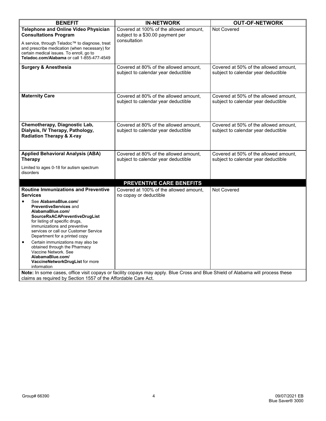| <b>BENEFIT</b>                                                                                                                                                                                                                                                                                                                                                                                                                                                                                            | <b>IN-NETWORK</b>                                                                                                                                                                                   | <b>OUT-OF-NETWORK</b>                                                        |
|-----------------------------------------------------------------------------------------------------------------------------------------------------------------------------------------------------------------------------------------------------------------------------------------------------------------------------------------------------------------------------------------------------------------------------------------------------------------------------------------------------------|-----------------------------------------------------------------------------------------------------------------------------------------------------------------------------------------------------|------------------------------------------------------------------------------|
| Telephone and Online Video Physician<br><b>Consultations Program</b><br>A service, through Teladoc™ to diagnose, treat<br>and prescribe medication (when necessary) for<br>certain medical issues. To enroll, go to<br>Teladoc.com/Alabama or call 1-855-477-4549                                                                                                                                                                                                                                         | Covered at 100% of the allowed amount,<br>subject to a \$30.00 payment per<br>consultation                                                                                                          | Not Covered                                                                  |
| <b>Surgery &amp; Anesthesia</b>                                                                                                                                                                                                                                                                                                                                                                                                                                                                           | Covered at 80% of the allowed amount,<br>subject to calendar year deductible                                                                                                                        | Covered at 50% of the allowed amount,<br>subject to calendar year deductible |
| <b>Maternity Care</b>                                                                                                                                                                                                                                                                                                                                                                                                                                                                                     | Covered at 80% of the allowed amount,<br>subject to calendar year deductible                                                                                                                        | Covered at 50% of the allowed amount,<br>subject to calendar year deductible |
| Chemotherapy, Diagnostic Lab,<br>Dialysis, IV Therapy, Pathology,<br><b>Radiation Therapy &amp; X-ray</b>                                                                                                                                                                                                                                                                                                                                                                                                 | Covered at 80% of the allowed amount,<br>subject to calendar year deductible                                                                                                                        | Covered at 50% of the allowed amount,<br>subject to calendar year deductible |
| <b>Applied Behavioral Analysis (ABA)</b><br><b>Therapy</b>                                                                                                                                                                                                                                                                                                                                                                                                                                                | Covered at 80% of the allowed amount,<br>subject to calendar year deductible                                                                                                                        | Covered at 50% of the allowed amount,<br>subject to calendar year deductible |
| Limited to ages 0-18 for autism spectrum<br>disorders                                                                                                                                                                                                                                                                                                                                                                                                                                                     |                                                                                                                                                                                                     |                                                                              |
|                                                                                                                                                                                                                                                                                                                                                                                                                                                                                                           | PREVENTIVE CARE BENEFITS                                                                                                                                                                            |                                                                              |
| <b>Routine Immunizations and Preventive</b><br><b>Services</b><br>See AlabamaBlue.com/<br><b>PreventiveServices and</b><br>AlabamaBlue.com/<br>SourceRxACAPreventiveDrugList<br>for listing of specific drugs,<br>immunizations and preventive<br>services or call our Customer Service<br>Department for a printed copy<br>Certain immunizations may also be<br>$\bullet$<br>obtained through the Pharmacy<br>Vaccine Network. See<br>AlabamaBlue.com/<br>VaccineNetworkDrugList for more<br>information | Covered at 100% of the allowed amount,<br>no copay or deductible<br>Note: In some cases, office visit copays or facility copays may apply. Blue Cross and Blue Shield of Alabama will process these | Not Covered                                                                  |
| claims as required by Section 1557 of the Affordable Care Act.                                                                                                                                                                                                                                                                                                                                                                                                                                            |                                                                                                                                                                                                     |                                                                              |

claims as required by Section 1557 of the Affordable Care Act.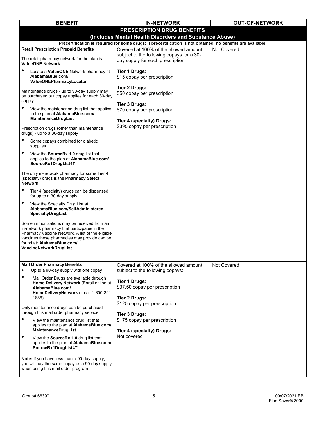| <b>BENEFIT</b>                                                                                                                                                                                                                                          | <b>IN-NETWORK</b>                                                              | <b>OUT-OF-NETWORK</b> |  |
|---------------------------------------------------------------------------------------------------------------------------------------------------------------------------------------------------------------------------------------------------------|--------------------------------------------------------------------------------|-----------------------|--|
|                                                                                                                                                                                                                                                         | PRESCRIPTION DRUG BENEFITS                                                     |                       |  |
| (Includes Mental Health Disorders and Substance Abuse)<br>Precertification is required for some drugs; if precertification is not obtained, no benefits are available.                                                                                  |                                                                                |                       |  |
| <b>Retail Prescription Prepaid Benefits</b>                                                                                                                                                                                                             | Covered at 100% of the allowed amount,                                         | Not Covered           |  |
| The retail pharmacy network for the plan is<br><b>ValueONE Network</b>                                                                                                                                                                                  | subject to the following copays for a 30-<br>day supply for each prescription: |                       |  |
| ٠<br>Locate a ValueONE Network pharmacy at<br>AlabamaBlue.com/<br>ValueONEPharmacyLocator                                                                                                                                                               | Tier 1 Drugs:<br>\$15 copay per prescription                                   |                       |  |
| Maintenance drugs - up to 90-day supply may<br>be purchased but copay applies for each 30-day<br>supply                                                                                                                                                 | Tier 2 Drugs:<br>\$50 copay per prescription<br>Tier 3 Drugs:                  |                       |  |
| $\bullet$<br>View the maintenance drug list that applies<br>to the plan at AlabamaBlue.com/<br>MaintenanceDrugList                                                                                                                                      | \$70 copay per prescription<br>Tier 4 (specialty) Drugs:                       |                       |  |
| Prescription drugs (other than maintenance<br>drugs) - up to a 30-day supply                                                                                                                                                                            | \$395 copay per prescription                                                   |                       |  |
| ٠<br>Some copays combined for diabetic<br>supplies                                                                                                                                                                                                      |                                                                                |                       |  |
| $\bullet$<br>View the SourceRx 1.0 drug list that<br>applies to the plan at AlabamaBlue.com/<br>SourceRx1DrugList4T                                                                                                                                     |                                                                                |                       |  |
| The only in-network pharmacy for some Tier 4<br>(specialty) drugs is the Pharmacy Select<br><b>Network</b>                                                                                                                                              |                                                                                |                       |  |
| $\bullet$<br>Tier 4 (specialty) drugs can be dispensed<br>for up to a 30-day supply                                                                                                                                                                     |                                                                                |                       |  |
| $\bullet$<br>View the Specialty Drug List at<br>AlabamaBlue.com/SelfAdministered<br>SpecialtyDrugList                                                                                                                                                   |                                                                                |                       |  |
| Some immunizations may be received from an<br>in-network pharmacy that participates in the<br>Pharmacy Vaccine Network. A list of the eligible<br>vaccines these pharmacies may provide can be<br>found at: AlabamaBlue.com/<br>VaccineNetworkDrugList. |                                                                                |                       |  |
| <b>Mail Order Pharmacy Benefits</b><br>Up to a 90-day supply with one copay<br>$\bullet$                                                                                                                                                                | Covered at 100% of the allowed amount,<br>subject to the following copays:     | Not Covered           |  |
| $\bullet$<br>Mail Order Drugs are available through<br>Home Delivery Network (Enroll online at<br>AlabamaBlue.com/<br>HomeDeliveryNetwork or call 1-800-391-<br>1886)                                                                                   | <b>Tier 1 Drugs:</b><br>\$37.50 copay per prescription<br>Tier 2 Drugs:        |                       |  |
| Only maintenance drugs can be purchased<br>through this mail order pharmacy service                                                                                                                                                                     | \$125 copay per prescription<br><b>Tier 3 Drugs:</b>                           |                       |  |
| $\bullet$<br>View the maintenance drug list that<br>applies to the plan at AlabamaBlue.com/<br>MaintenanceDrugList                                                                                                                                      | \$175 copay per prescription<br>Tier 4 (specialty) Drugs:                      |                       |  |
| $\bullet$<br>View the SourceRx 1.0 drug list that<br>applies to the plan at AlabamaBlue.com/<br>SourceRx1DrugList4T                                                                                                                                     | Not covered                                                                    |                       |  |
| Note: If you have less than a 90-day supply,<br>you will pay the same copay as a 90-day supply<br>when using this mail order program                                                                                                                    |                                                                                |                       |  |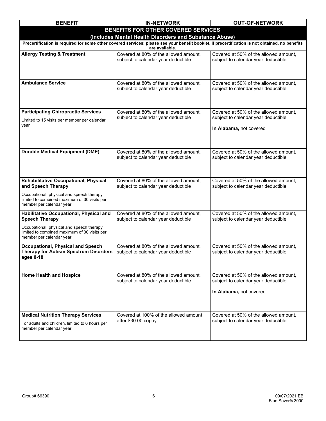| <b>BENEFIT</b>                                                                                                                                                    | <b>IN-NETWORK</b>                                                            | <b>OUT-OF-NETWORK</b>                                                        |  |
|-------------------------------------------------------------------------------------------------------------------------------------------------------------------|------------------------------------------------------------------------------|------------------------------------------------------------------------------|--|
|                                                                                                                                                                   | BENEFITS FOR OTHER COVERED SERVICES                                          |                                                                              |  |
| (Includes Mental Health Disorders and Substance Abuse)                                                                                                            |                                                                              |                                                                              |  |
| Precertification is required for some other covered services; please see your benefit booklet. If precertification is not obtained, no benefits<br>are available. |                                                                              |                                                                              |  |
| <b>Allergy Testing &amp; Treatment</b>                                                                                                                            | Covered at 80% of the allowed amount,<br>subject to calendar year deductible | Covered at 50% of the allowed amount,<br>subject to calendar year deductible |  |
|                                                                                                                                                                   |                                                                              |                                                                              |  |
|                                                                                                                                                                   |                                                                              |                                                                              |  |
| <b>Ambulance Service</b>                                                                                                                                          | Covered at 80% of the allowed amount,                                        | Covered at 50% of the allowed amount,                                        |  |
|                                                                                                                                                                   | subject to calendar year deductible                                          | subject to calendar year deductible                                          |  |
|                                                                                                                                                                   |                                                                              |                                                                              |  |
| <b>Participating Chiropractic Services</b>                                                                                                                        | Covered at 80% of the allowed amount,                                        | Covered at 50% of the allowed amount,                                        |  |
| Limited to 15 visits per member per calendar                                                                                                                      | subject to calendar year deductible                                          | subject to calendar year deductible                                          |  |
| year                                                                                                                                                              |                                                                              | In Alabama, not covered                                                      |  |
|                                                                                                                                                                   |                                                                              |                                                                              |  |
|                                                                                                                                                                   |                                                                              |                                                                              |  |
| <b>Durable Medical Equipment (DME)</b>                                                                                                                            | Covered at 80% of the allowed amount,                                        | Covered at 50% of the allowed amount,                                        |  |
|                                                                                                                                                                   | subject to calendar year deductible                                          | subject to calendar year deductible                                          |  |
|                                                                                                                                                                   |                                                                              |                                                                              |  |
| Rehabilitative Occupational, Physical                                                                                                                             | Covered at 80% of the allowed amount,                                        | Covered at 50% of the allowed amount,                                        |  |
| and Speech Therapy                                                                                                                                                | subject to calendar year deductible                                          | subject to calendar year deductible                                          |  |
| Occupational, physical and speech therapy<br>limited to combined maximum of 30 visits per                                                                         |                                                                              |                                                                              |  |
| member per calendar year                                                                                                                                          |                                                                              |                                                                              |  |
| Habilitative Occupational, Physical and<br><b>Speech Therapy</b>                                                                                                  | Covered at 80% of the allowed amount,<br>subject to calendar year deductible | Covered at 50% of the allowed amount,<br>subject to calendar year deductible |  |
| Occupational, physical and speech therapy                                                                                                                         |                                                                              |                                                                              |  |
| limited to combined maximum of 30 visits per                                                                                                                      |                                                                              |                                                                              |  |
| member per calendar year                                                                                                                                          |                                                                              |                                                                              |  |
| <b>Occupational, Physical and Speech</b><br><b>Therapy for Autism Spectrum Disorders</b>                                                                          | Covered at 80% of the allowed amount,<br>subject to calendar year deductible | Covered at 50% of the allowed amount,<br>subject to calendar year deductible |  |
| ages 0-18                                                                                                                                                         |                                                                              |                                                                              |  |
|                                                                                                                                                                   |                                                                              |                                                                              |  |
| <b>Home Health and Hospice</b>                                                                                                                                    | Covered at 80% of the allowed amount,<br>subject to calendar year deductible | Covered at 50% of the allowed amount,<br>subject to calendar year deductible |  |
|                                                                                                                                                                   |                                                                              |                                                                              |  |
|                                                                                                                                                                   |                                                                              | In Alabama, not covered                                                      |  |
|                                                                                                                                                                   |                                                                              |                                                                              |  |
| <b>Medical Nutrition Therapy Services</b>                                                                                                                         | Covered at 100% of the allowed amount,                                       | Covered at 50% of the allowed amount,                                        |  |
| For adults and children, limited to 6 hours per                                                                                                                   | after \$30.00 copay                                                          | subject to calendar year deductible                                          |  |
| member per calendar year                                                                                                                                          |                                                                              |                                                                              |  |
|                                                                                                                                                                   |                                                                              |                                                                              |  |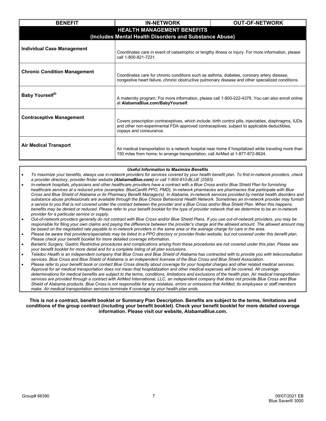| <b>BENEFIT</b>                                         | <b>IN-NETWORK</b>                                                                                                                                                                                                              | <b>OUT-OF-NETWORK</b> |
|--------------------------------------------------------|--------------------------------------------------------------------------------------------------------------------------------------------------------------------------------------------------------------------------------|-----------------------|
| <b>HEALTH MANAGEMENT BENEFITS</b>                      |                                                                                                                                                                                                                                |                       |
| (Includes Mental Health Disorders and Substance Abuse) |                                                                                                                                                                                                                                |                       |
| <b>Individual Case Management</b>                      | Coordinates care in event of catastrophic or lengthy illness or injury. For more information, please<br>call 1-800-821-7231.                                                                                                   |                       |
| <b>Chronic Condition Management</b>                    | Coordinates care for chronic conditions such as asthma, diabetes, coronary artery disease,<br>congestive heart failure, chronic obstructive pulmonary disease and other specialized conditions.                                |                       |
| Baby Yourself <sup>®</sup>                             | A maternity program; For more information, please call 1-800-222-4379. You can also enroll online<br>at AlabamaBlue.com/BabyYourself.                                                                                          |                       |
| <b>Contraceptive Management</b>                        | Covers prescription contraceptives, which include: birth control pills, injectables, diaphragms, IUDs<br>and other non-experimental FDA approved contraceptives; subject to applicable deductibles,<br>copays and coinsurance. |                       |
| <b>Air Medical Transport</b>                           | Air medical transportation to a network hospital near home if hospitalized while traveling more than<br>150 miles from home; to arrange transportation, call AirMed at 1-877-872-8624.                                         |                       |

#### *Useful Information to Maximize Benefits*

- *To maximize your benefits, always use in-network providers for services covered by your health benefit plan. To find in-network providers, check a provider directory, provider finder website (AlabamaBlue.com) or call 1-800-810-BLUE (2583).*
- *In-network hospitals, physicians and other healthcare providers have a contract with a Blue Cross and/or Blue Shield Plan for furnishing healthcare services at a reduced price (examples: BlueCard® PPO, PMD). In-network pharmacies are pharmacies that participate with Blue Cross and Blue Shield of Alabama or its Pharmacy Benefit Manager(s). In Alabama, in-network services provided by mental health disorders and substance abuse professionals are available through the Blue Choice Behavioral Health Network. Sometimes an in-network provider may furnish a service to you that is not covered under the contract between the provider and a Blue Cross and/or Blue Shield Plan. When this happens, benefits may be denied or reduced. Please refer to your benefit booklet for the type of provider network that we determine to be an in-network provider for a particular service or supply.*
- *Out-of-network providers generally do not contract with Blue Cross and/or Blue Shield Plans. If you use out-of-network providers, you may be*  responsible for filing your own claims and paying the difference between the provider's charge and the allowed amount. The allowed amount may *be based on the negotiated rate payable to in-network providers in the same area or the average charge for care in the area.*
- *Please be aware that providers/specialists may be listed in a PPO directory or provider finder website, but not covered under this benefit plan. Please check your benefit booklet for more detailed coverage information.*
- *Bariatric Surgery, Gastric Restrictive procedures and complications arising from these procedures are not covered under this plan. Please see your benefit booklet for more detail and for a complete listing of all plan exclusions.*
- *Teladoc Health is an independent company that Blue Cross and Blue Shield of Alabama has contracted with to provide you with teleconsultation services. Blue Cross and Blue Shield of Alabama is an independent licensee of the Blue Cross and Blue Shield Association.*
- *Please refer to your benefit book or contact Blue Cross directly about coverage for your hospital charges and other related medical services. Approval for air medical transportation does not mean that hospitalization and other medical expenses will be covered. All coverage determinations for medical benefits are subject to the terms, conditions, limitations and exclusions of the health plan. Air medical transportation services are provided through a contract with AirMed International, LLC, an independent company that does not provide Blue Cross and Blue Shield of Alabama products. Blue Cross is not responsible for any mistakes, errors or omissions that AirMed, its employees or staff members make. Air medical transportation services terminate if coverage by your health plan ends.*

#### **This is not a contract, benefit booklet or Summary Plan Description. Benefits are subject to the terms, limitations and conditions of the group contract (including your benefit booklet). Check your benefit booklet for more detailed coverage information. Please visit our website, AlabamaBlue.com.**